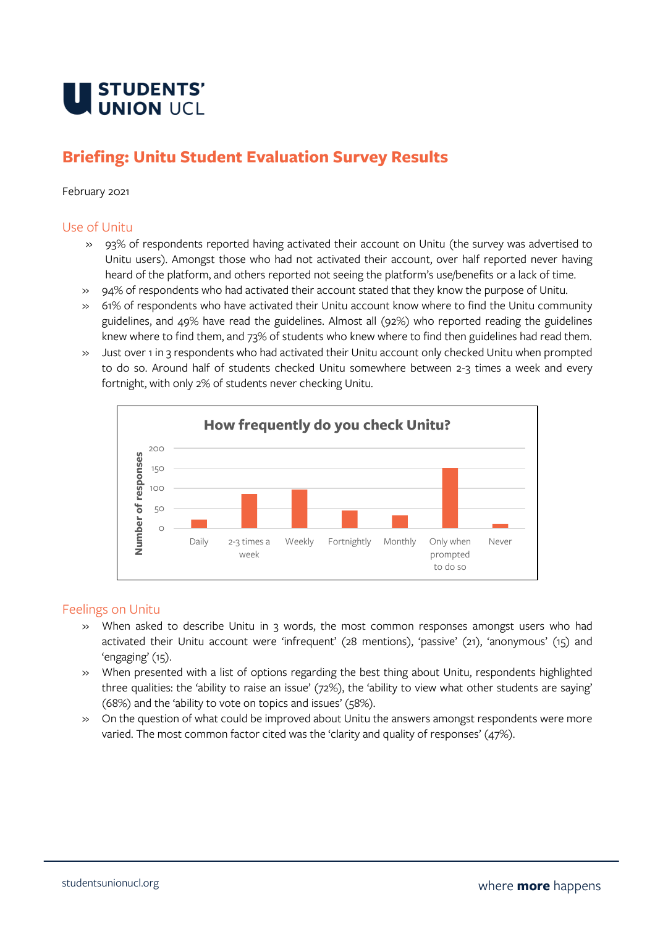

# **Briefing: Unitu Student Evaluation Survey Results**

#### February 2021

#### Use of Unitu

- » 93% of respondents reported having activated their account on Unitu (the survey was advertised to Unitu users). Amongst those who had not activated their account, over half reported never having heard of the platform, and others reported not seeing the platform's use/benefits or a lack of time.
- » 94% of respondents who had activated their account stated that they know the purpose of Unitu.
- » 61% of respondents who have activated their Unitu account know where to find the Unitu community guidelines, and 49% have read the guidelines. Almost all (92%) who reported reading the guidelines knew where to find them, and 73% of students who knew where to find then guidelines had read them.
- » Just over 1 in 3 respondents who had activated their Unitu account only checked Unitu when prompted to do so. Around half of students checked Unitu somewhere between 2-3 times a week and every fortnight, with only 2% of students never checking Unitu.



### Feelings on Unitu

- » When asked to describe Unitu in 3 words, the most common responses amongst users who had activated their Unitu account were 'infrequent' (28 mentions), 'passive' (21), 'anonymous' (15) and 'engaging' (15).
- » When presented with a list of options regarding the best thing about Unitu, respondents highlighted three qualities: the 'ability to raise an issue' (72%), the 'ability to view what other students are saying' (68%) and the 'ability to vote on topics and issues' (58%).
- » On the question of what could be improved about Unitu the answers amongst respondents were more varied. The most common factor cited was the 'clarity and quality of responses' (47%).